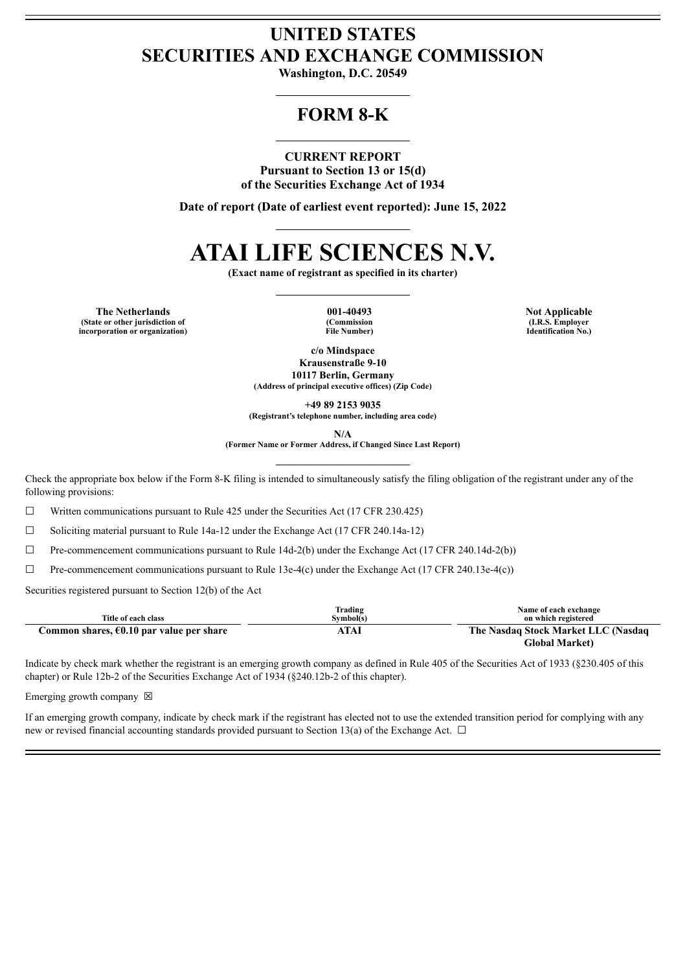# **UNITED STATES SECURITIES AND EXCHANGE COMMISSION**

**Washington, D.C. 20549**

# **FORM 8-K**

## **CURRENT REPORT**

**Pursuant to Section 13 or 15(d) of the Securities Exchange Act of 1934**

**Date of report (Date of earliest event reported): June 15, 2022**

# **ATAI LIFE SCIENCES N.V.**

**(Exact name of registrant as specified in its charter)**

**The** Netherlands **CONFIDER 1001-40493 Not Applicable (State or other jurisdiction of incorporation or organization)**

**(Commission File Number)**

**(I.R.S. Employer Identification No.)**

**c/o Mindspace Krausenstraße 9-10 10117 Berlin, Germany (Address of principal executive offices) (Zip Code)**

**+49 89 2153 9035**

**(Registrant's telephone number, including area code)**

**N/A**

**(Former Name or Former Address, if Changed Since Last Report)**

Check the appropriate box below if the Form 8-K filing is intended to simultaneously satisfy the filing obligation of the registrant under any of the following provisions:

☐ Written communications pursuant to Rule 425 under the Securities Act (17 CFR 230.425)

 $\Box$  Soliciting material pursuant to Rule 14a-12 under the Exchange Act (17 CFR 240.14a-12)

 $\Box$  Pre-commencement communications pursuant to Rule 14d-2(b) under the Exchange Act (17 CFR 240.14d-2(b))

☐ Pre-commencement communications pursuant to Rule 13e-4(c) under the Exchange Act (17 CFR 240.13e-4(c))

Securities registered pursuant to Section 12(b) of the Act

|                                          | Trading   | Name of each exchange               |
|------------------------------------------|-----------|-------------------------------------|
| Title of each class                      | Svmbol(s) | on which registered                 |
| Common shares, €0.10 par value per share | ATAI      | The Nasdaq Stock Market LLC (Nasdaq |
|                                          |           | <b>Global Market)</b>               |

Indicate by check mark whether the registrant is an emerging growth company as defined in Rule 405 of the Securities Act of 1933 (§230.405 of this chapter) or Rule 12b-2 of the Securities Exchange Act of 1934 (§240.12b-2 of this chapter).

Emerging growth company  $\boxtimes$ 

If an emerging growth company, indicate by check mark if the registrant has elected not to use the extended transition period for complying with any new or revised financial accounting standards provided pursuant to Section 13(a) of the Exchange Act.  $\Box$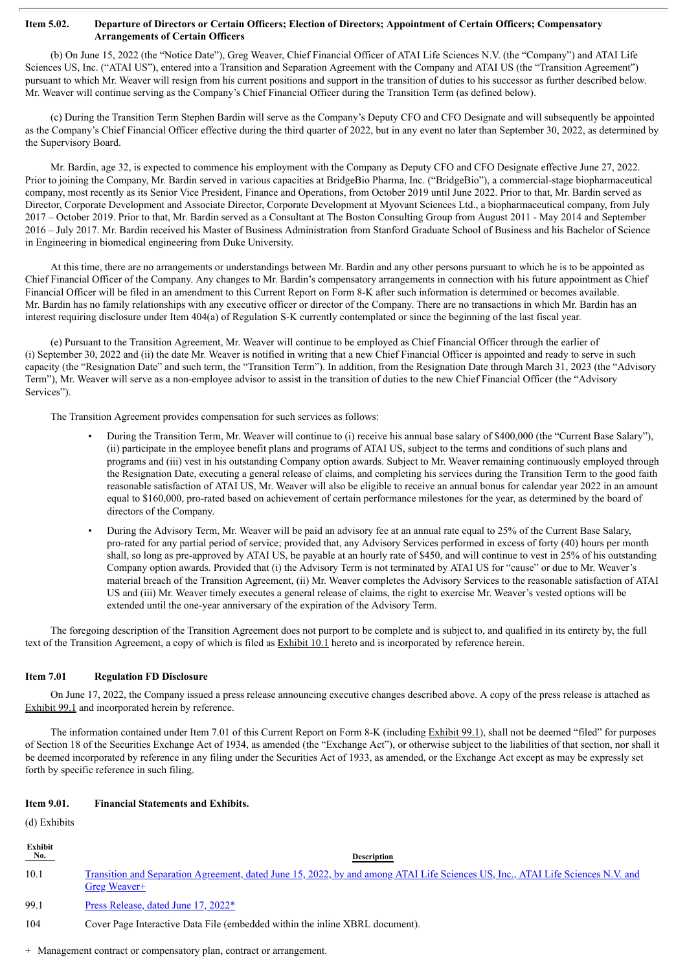#### Item 5.02. Departure of Directors or Certain Officers; Election of Directors; Appointment of Certain Officers; Compensatory **Arrangements of Certain Officers**

(b) On June 15, 2022 (the "Notice Date"), Greg Weaver, Chief Financial Officer of ATAI Life Sciences N.V. (the "Company") and ATAI Life Sciences US, Inc. ("ATAI US"), entered into a Transition and Separation Agreement with the Company and ATAI US (the "Transition Agreement") pursuant to which Mr. Weaver will resign from his current positions and support in the transition of duties to his successor as further described below. Mr. Weaver will continue serving as the Company's Chief Financial Officer during the Transition Term (as defined below).

(c) During the Transition Term Stephen Bardin will serve as the Company's Deputy CFO and CFO Designate and will subsequently be appointed as the Company's Chief Financial Officer effective during the third quarter of 2022, but in any event no later than September 30, 2022, as determined by the Supervisory Board.

Mr. Bardin, age 32, is expected to commence his employment with the Company as Deputy CFO and CFO Designate effective June 27, 2022. Prior to joining the Company, Mr. Bardin served in various capacities at BridgeBio Pharma, Inc. ("BridgeBio"), a commercial-stage biopharmaceutical company, most recently as its Senior Vice President, Finance and Operations, from October 2019 until June 2022. Prior to that, Mr. Bardin served as Director, Corporate Development and Associate Director, Corporate Development at Myovant Sciences Ltd., a biopharmaceutical company, from July 2017 – October 2019. Prior to that, Mr. Bardin served as a Consultant at The Boston Consulting Group from August 2011 - May 2014 and September 2016 – July 2017. Mr. Bardin received his Master of Business Administration from Stanford Graduate School of Business and his Bachelor of Science in Engineering in biomedical engineering from Duke University.

At this time, there are no arrangements or understandings between Mr. Bardin and any other persons pursuant to which he is to be appointed as Chief Financial Officer of the Company. Any changes to Mr. Bardin's compensatory arrangements in connection with his future appointment as Chief Financial Officer will be filed in an amendment to this Current Report on Form 8-K after such information is determined or becomes available. Mr. Bardin has no family relationships with any executive officer or director of the Company. There are no transactions in which Mr. Bardin has an interest requiring disclosure under Item 404(a) of Regulation S-K currently contemplated or since the beginning of the last fiscal year.

(e) Pursuant to the Transition Agreement, Mr. Weaver will continue to be employed as Chief Financial Officer through the earlier of (i) September 30, 2022 and (ii) the date Mr. Weaver is notified in writing that a new Chief Financial Officer is appointed and ready to serve in such capacity (the "Resignation Date" and such term, the "Transition Term"). In addition, from the Resignation Date through March 31, 2023 (the "Advisory Term"), Mr. Weaver will serve as a non-employee advisor to assist in the transition of duties to the new Chief Financial Officer (the "Advisory Services").

The Transition Agreement provides compensation for such services as follows:

- During the Transition Term, Mr. Weaver will continue to (i) receive his annual base salary of \$400,000 (the "Current Base Salary"), (ii) participate in the employee benefit plans and programs of ATAI US, subject to the terms and conditions of such plans and programs and (iii) vest in his outstanding Company option awards. Subject to Mr. Weaver remaining continuously employed through the Resignation Date, executing a general release of claims, and completing his services during the Transition Term to the good faith reasonable satisfaction of ATAI US, Mr. Weaver will also be eligible to receive an annual bonus for calendar year 2022 in an amount equal to \$160,000, pro-rated based on achievement of certain performance milestones for the year, as determined by the board of directors of the Company.
- During the Advisory Term, Mr. Weaver will be paid an advisory fee at an annual rate equal to 25% of the Current Base Salary, pro-rated for any partial period of service; provided that, any Advisory Services performed in excess of forty (40) hours per month shall, so long as pre-approved by ATAI US, be payable at an hourly rate of \$450, and will continue to vest in 25% of his outstanding Company option awards. Provided that (i) the Advisory Term is not terminated by ATAI US for "cause" or due to Mr. Weaver's material breach of the Transition Agreement, (ii) Mr. Weaver completes the Advisory Services to the reasonable satisfaction of ATAI US and (iii) Mr. Weaver timely executes a general release of claims, the right to exercise Mr. Weaver's vested options will be extended until the one-year anniversary of the expiration of the Advisory Term.

The foregoing description of the Transition Agreement does not purport to be complete and is subject to, and qualified in its entirety by, the full text of the Transition Agreement, a copy of which is filed as **Exhibit 10.1** hereto and is incorporated by reference herein.

#### **Item 7.01 Regulation FD Disclosure**

On June 17, 2022, the Company issued a press release announcing executive changes described above. A copy of the press release is attached as Exhibit 99.1 and incorporated herein by reference.

The information contained under Item 7.01 of this Current Report on Form 8-K (including Exhibit 99.1), shall not be deemed "filed" for purposes of Section 18 of the Securities Exchange Act of 1934, as amended (the "Exchange Act"), or otherwise subject to the liabilities of that section, nor shall it be deemed incorporated by reference in any filing under the Securities Act of 1933, as amended, or the Exchange Act except as may be expressly set forth by specific reference in such filing.

#### **Item 9.01. Financial Statements and Exhibits.**

(d) Exhibits

| Exhibit<br>$N_0$ . | <b>Description</b>                                                                                                                              |
|--------------------|-------------------------------------------------------------------------------------------------------------------------------------------------|
| 10.1               | Transition and Separation Agreement, dated June 15, 2022, by and among ATAI Life Sciences US, Inc., ATAI Life Sciences N.V. and<br>Greg Weaver+ |
| 99.1               | Press Release, dated June 17, 2022*                                                                                                             |
| 104                | Cover Page Interactive Data File (embedded within the inline XBRL document).                                                                    |

+ Management contract or compensatory plan, contract or arrangement.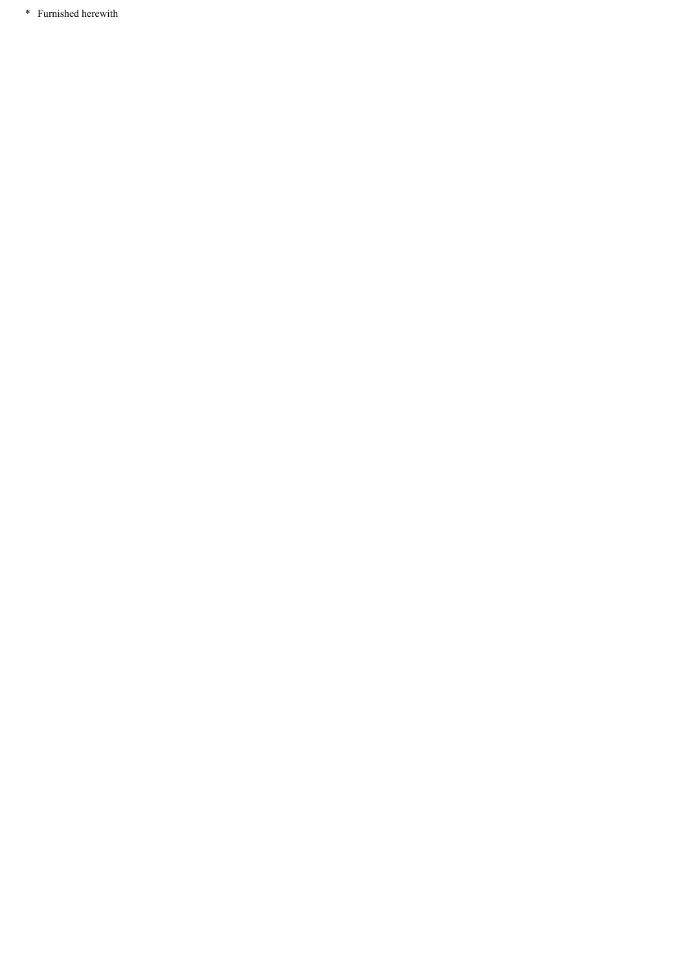\* Furnished herewith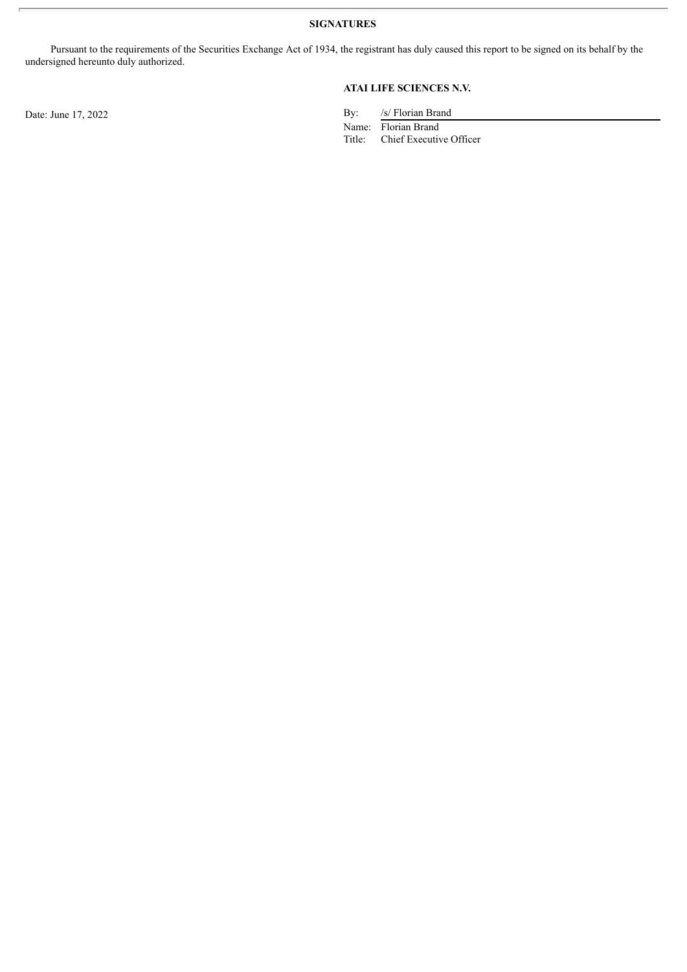**SIGNATURES**

Pursuant to the requirements of the Securities Exchange Act of 1934, the registrant has duly caused this report to be signed on its behalf by the undersigned hereunto duly authorized.

## **ATAI LIFE SCIENCES N.V.**

Date: June 17, 2022 By: /s/ Florian Brand

Name: Florian Brand<br>Title: Chief Executiv

Chief Executive Officer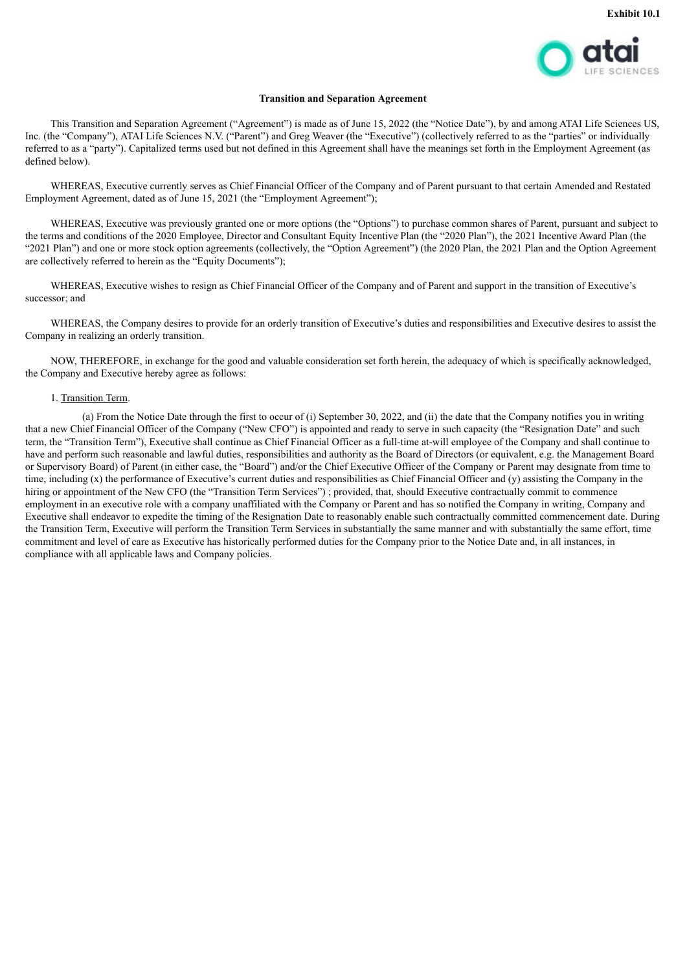

#### **Transition and Separation Agreement**

<span id="page-4-0"></span>This Transition and Separation Agreement ("Agreement") is made as of June 15, 2022 (the "Notice Date"), by and among ATAI Life Sciences US, Inc. (the "Company"), ATAI Life Sciences N.V. ("Parent") and Greg Weaver (the "Executive") (collectively referred to as the "parties" or individually referred to as a "party"). Capitalized terms used but not defined in this Agreement shall have the meanings set forth in the Employment Agreement (as defined below).

WHEREAS, Executive currently serves as Chief Financial Officer of the Company and of Parent pursuant to that certain Amended and Restated Employment Agreement, dated as of June 15, 2021 (the "Employment Agreement");

WHEREAS, Executive was previously granted one or more options (the "Options") to purchase common shares of Parent, pursuant and subject to the terms and conditions of the 2020 Employee, Director and Consultant Equity Incentive Plan (the "2020 Plan"), the 2021 Incentive Award Plan (the "2021 Plan") and one or more stock option agreements (collectively, the "Option Agreement") (the 2020 Plan, the 2021 Plan and the Option Agreement are collectively referred to herein as the "Equity Documents");

WHEREAS, Executive wishes to resign as Chief Financial Officer of the Company and of Parent and support in the transition of Executive's successor; and

WHEREAS, the Company desires to provide for an orderly transition of Executive's duties and responsibilities and Executive desires to assist the Company in realizing an orderly transition.

NOW, THEREFORE, in exchange for the good and valuable consideration set forth herein, the adequacy of which is specifically acknowledged, the Company and Executive hereby agree as follows:

#### 1. Transition Term.

(a) From the Notice Date through the first to occur of (i) September 30, 2022, and (ii) the date that the Company notifies you in writing that a new Chief Financial Officer of the Company ("New CFO") is appointed and ready to serve in such capacity (the "Resignation Date" and such term, the "Transition Term"), Executive shall continue as Chief Financial Officer as a full-time at-will employee of the Company and shall continue to have and perform such reasonable and lawful duties, responsibilities and authority as the Board of Directors (or equivalent, e.g. the Management Board or Supervisory Board) of Parent (in either case, the "Board") and/or the Chief Executive Officer of the Company or Parent may designate from time to time, including (x) the performance of Executive's current duties and responsibilities as Chief Financial Officer and (y) assisting the Company in the hiring or appointment of the New CFO (the "Transition Term Services"); provided, that, should Executive contractually commit to commence employment in an executive role with a company unaffiliated with the Company or Parent and has so notified the Company in writing, Company and Executive shall endeavor to expedite the timing of the Resignation Date to reasonably enable such contractually committed commencement date. During the Transition Term, Executive will perform the Transition Term Services in substantially the same manner and with substantially the same effort, time commitment and level of care as Executive has historically performed duties for the Company prior to the Notice Date and, in all instances, in compliance with all applicable laws and Company policies.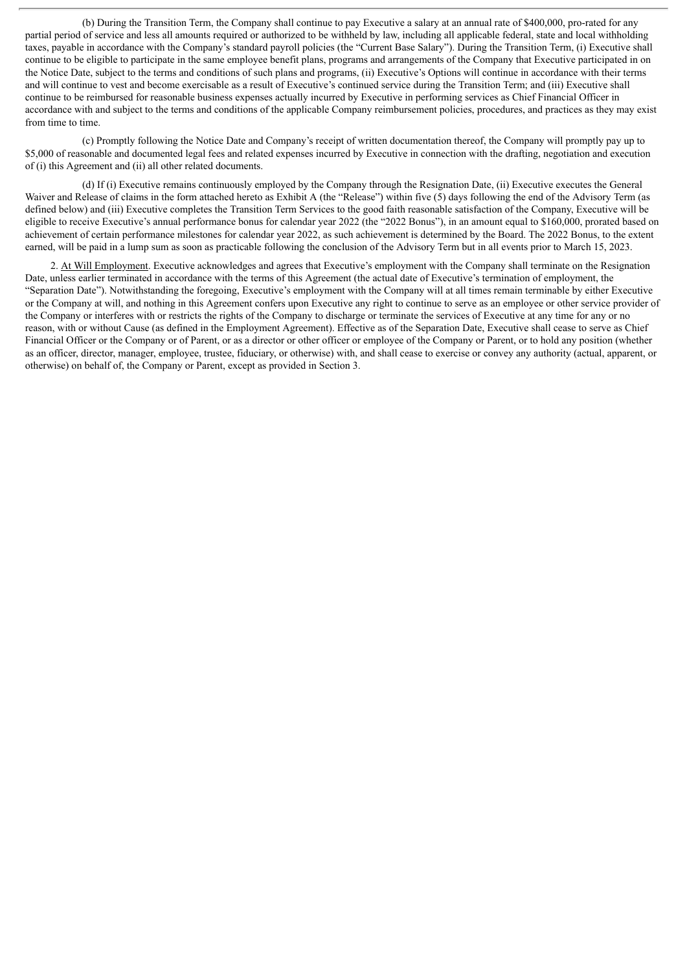(b) During the Transition Term, the Company shall continue to pay Executive a salary at an annual rate of \$400,000, pro-rated for any partial period of service and less all amounts required or authorized to be withheld by law, including all applicable federal, state and local withholding taxes, payable in accordance with the Company's standard payroll policies (the "Current Base Salary"). During the Transition Term, (i) Executive shall continue to be eligible to participate in the same employee benefit plans, programs and arrangements of the Company that Executive participated in on the Notice Date, subject to the terms and conditions of such plans and programs, (ii) Executive's Options will continue in accordance with their terms and will continue to vest and become exercisable as a result of Executive's continued service during the Transition Term; and (iii) Executive shall continue to be reimbursed for reasonable business expenses actually incurred by Executive in performing services as Chief Financial Officer in accordance with and subject to the terms and conditions of the applicable Company reimbursement policies, procedures, and practices as they may exist from time to time.

(c) Promptly following the Notice Date and Company's receipt of written documentation thereof, the Company will promptly pay up to \$5,000 of reasonable and documented legal fees and related expenses incurred by Executive in connection with the drafting, negotiation and execution of (i) this Agreement and (ii) all other related documents.

(d) If (i) Executive remains continuously employed by the Company through the Resignation Date, (ii) Executive executes the General Waiver and Release of claims in the form attached hereto as Exhibit A (the "Release") within five (5) days following the end of the Advisory Term (as defined below) and (iii) Executive completes the Transition Term Services to the good faith reasonable satisfaction of the Company, Executive will be eligible to receive Executive's annual performance bonus for calendar year 2022 (the "2022 Bonus"), in an amount equal to \$160,000, prorated based on achievement of certain performance milestones for calendar year 2022, as such achievement is determined by the Board. The 2022 Bonus, to the extent earned, will be paid in a lump sum as soon as practicable following the conclusion of the Advisory Term but in all events prior to March 15, 2023.

2. At Will Employment. Executive acknowledges and agrees that Executive's employment with the Company shall terminate on the Resignation Date, unless earlier terminated in accordance with the terms of this Agreement (the actual date of Executive's termination of employment, the "Separation Date"). Notwithstanding the foregoing, Executive's employment with the Company will at all times remain terminable by either Executive or the Company at will, and nothing in this Agreement confers upon Executive any right to continue to serve as an employee or other service provider of the Company or interferes with or restricts the rights of the Company to discharge or terminate the services of Executive at any time for any or no reason, with or without Cause (as defined in the Employment Agreement). Effective as of the Separation Date, Executive shall cease to serve as Chief Financial Officer or the Company or of Parent, or as a director or other officer or employee of the Company or Parent, or to hold any position (whether as an officer, director, manager, employee, trustee, fiduciary, or otherwise) with, and shall cease to exercise or convey any authority (actual, apparent, or otherwise) on behalf of, the Company or Parent, except as provided in Section 3.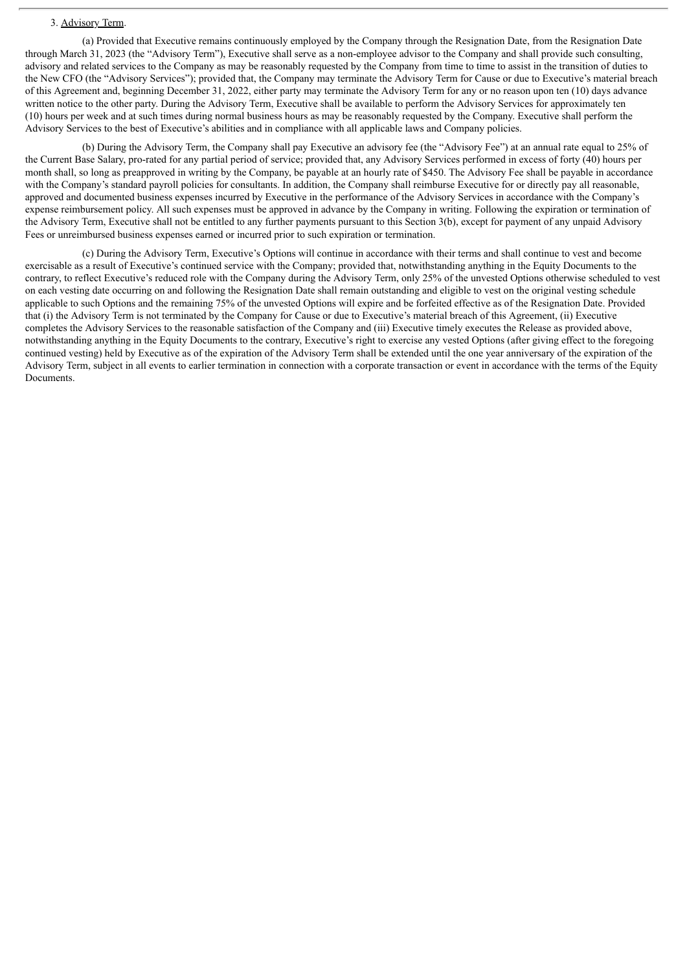#### 3. Advisory Term.

(a) Provided that Executive remains continuously employed by the Company through the Resignation Date, from the Resignation Date through March 31, 2023 (the "Advisory Term"), Executive shall serve as a non-employee advisor to the Company and shall provide such consulting, advisory and related services to the Company as may be reasonably requested by the Company from time to time to assist in the transition of duties to the New CFO (the "Advisory Services"); provided that, the Company may terminate the Advisory Term for Cause or due to Executive's material breach of this Agreement and, beginning December 31, 2022, either party may terminate the Advisory Term for any or no reason upon ten (10) days advance written notice to the other party. During the Advisory Term, Executive shall be available to perform the Advisory Services for approximately ten (10) hours per week and at such times during normal business hours as may be reasonably requested by the Company. Executive shall perform the Advisory Services to the best of Executive's abilities and in compliance with all applicable laws and Company policies.

(b) During the Advisory Term, the Company shall pay Executive an advisory fee (the "Advisory Fee") at an annual rate equal to 25% of the Current Base Salary, pro-rated for any partial period of service; provided that, any Advisory Services performed in excess of forty (40) hours per month shall, so long as preapproved in writing by the Company, be payable at an hourly rate of \$450. The Advisory Fee shall be payable in accordance with the Company's standard payroll policies for consultants. In addition, the Company shall reimburse Executive for or directly pay all reasonable, approved and documented business expenses incurred by Executive in the performance of the Advisory Services in accordance with the Company's expense reimbursement policy. All such expenses must be approved in advance by the Company in writing. Following the expiration or termination of the Advisory Term, Executive shall not be entitled to any further payments pursuant to this Section 3(b), except for payment of any unpaid Advisory Fees or unreimbursed business expenses earned or incurred prior to such expiration or termination.

(c) During the Advisory Term, Executive's Options will continue in accordance with their terms and shall continue to vest and become exercisable as a result of Executive's continued service with the Company; provided that, notwithstanding anything in the Equity Documents to the contrary, to reflect Executive's reduced role with the Company during the Advisory Term, only 25% of the unvested Options otherwise scheduled to vest on each vesting date occurring on and following the Resignation Date shall remain outstanding and eligible to vest on the original vesting schedule applicable to such Options and the remaining 75% of the unvested Options will expire and be forfeited effective as of the Resignation Date. Provided that (i) the Advisory Term is not terminated by the Company for Cause or due to Executive's material breach of this Agreement, (ii) Executive completes the Advisory Services to the reasonable satisfaction of the Company and (iii) Executive timely executes the Release as provided above, notwithstanding anything in the Equity Documents to the contrary, Executive's right to exercise any vested Options (after giving effect to the foregoing continued vesting) held by Executive as of the expiration of the Advisory Term shall be extended until the one year anniversary of the expiration of the Advisory Term, subject in all events to earlier termination in connection with a corporate transaction or event in accordance with the terms of the Equity Documents.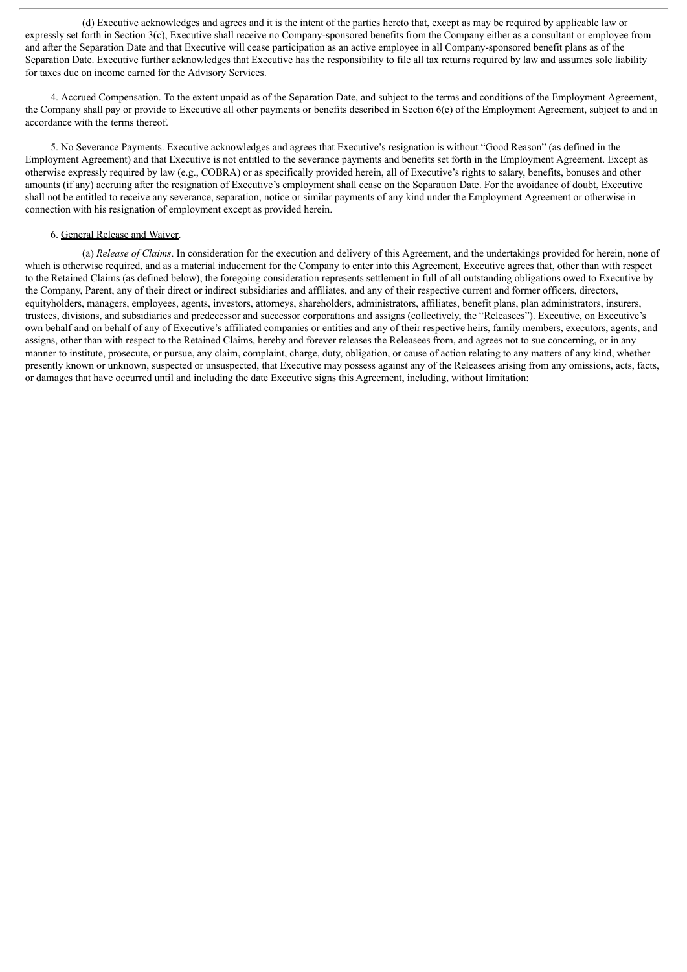(d) Executive acknowledges and agrees and it is the intent of the parties hereto that, except as may be required by applicable law or expressly set forth in Section 3(c), Executive shall receive no Company-sponsored benefits from the Company either as a consultant or employee from and after the Separation Date and that Executive will cease participation as an active employee in all Company-sponsored benefit plans as of the Separation Date. Executive further acknowledges that Executive has the responsibility to file all tax returns required by law and assumes sole liability for taxes due on income earned for the Advisory Services.

4. Accrued Compensation. To the extent unpaid as of the Separation Date, and subject to the terms and conditions of the Employment Agreement, the Company shall pay or provide to Executive all other payments or benefits described in Section 6(c) of the Employment Agreement, subject to and in accordance with the terms thereof.

5. No Severance Payments. Executive acknowledges and agrees that Executive's resignation is without "Good Reason" (as defined in the Employment Agreement) and that Executive is not entitled to the severance payments and benefits set forth in the Employment Agreement. Except as otherwise expressly required by law (e.g., COBRA) or as specifically provided herein, all of Executive's rights to salary, benefits, bonuses and other amounts (if any) accruing after the resignation of Executive's employment shall cease on the Separation Date. For the avoidance of doubt, Executive shall not be entitled to receive any severance, separation, notice or similar payments of any kind under the Employment Agreement or otherwise in connection with his resignation of employment except as provided herein.

#### 6. General Release and Waiver.

(a) *Release of Claims*. In consideration for the execution and delivery of this Agreement, and the undertakings provided for herein, none of which is otherwise required, and as a material inducement for the Company to enter into this Agreement, Executive agrees that, other than with respect to the Retained Claims (as defined below), the foregoing consideration represents settlement in full of all outstanding obligations owed to Executive by the Company, Parent, any of their direct or indirect subsidiaries and affiliates, and any of their respective current and former officers, directors, equityholders, managers, employees, agents, investors, attorneys, shareholders, administrators, affiliates, benefit plans, plan administrators, insurers, trustees, divisions, and subsidiaries and predecessor and successor corporations and assigns (collectively, the "Releasees"). Executive, on Executive's own behalf and on behalf of any of Executive's affiliated companies or entities and any of their respective heirs, family members, executors, agents, and assigns, other than with respect to the Retained Claims, hereby and forever releases the Releasees from, and agrees not to sue concerning, or in any manner to institute, prosecute, or pursue, any claim, complaint, charge, duty, obligation, or cause of action relating to any matters of any kind, whether presently known or unknown, suspected or unsuspected, that Executive may possess against any of the Releasees arising from any omissions, acts, facts, or damages that have occurred until and including the date Executive signs this Agreement, including, without limitation: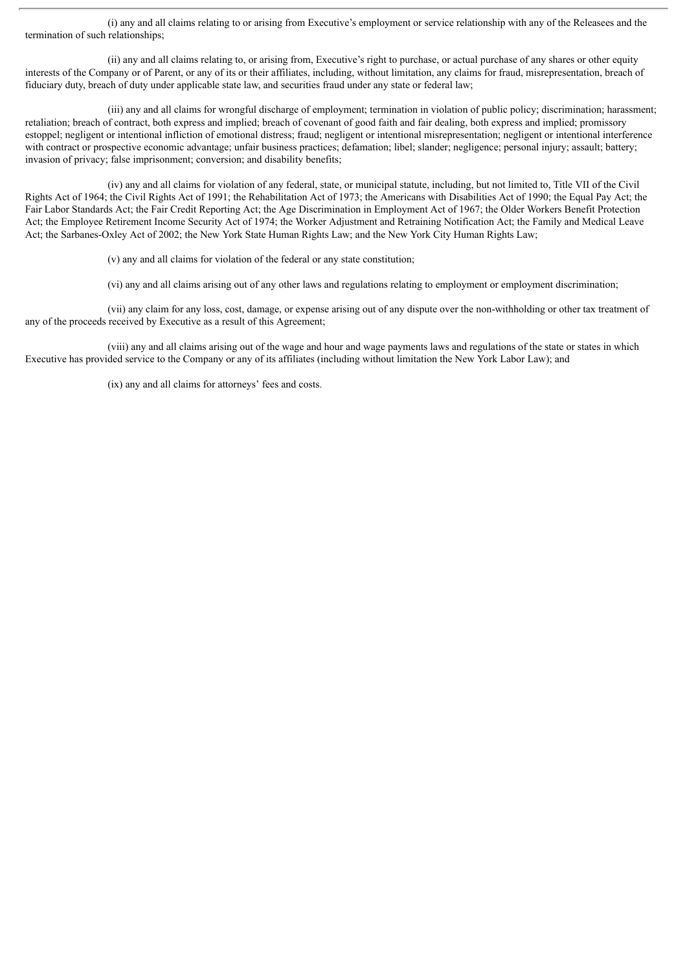(i) any and all claims relating to or arising from Executive's employment or service relationship with any of the Releasees and the termination of such relationships;

(ii) any and all claims relating to, or arising from, Executive's right to purchase, or actual purchase of any shares or other equity interests of the Company or of Parent, or any of its or their affiliates, including, without limitation, any claims for fraud, misrepresentation, breach of fiduciary duty, breach of duty under applicable state law, and securities fraud under any state or federal law;

(iii) any and all claims for wrongful discharge of employment; termination in violation of public policy; discrimination; harassment; retaliation; breach of contract, both express and implied; breach of covenant of good faith and fair dealing, both express and implied; promissory estoppel; negligent or intentional infliction of emotional distress; fraud; negligent or intentional misrepresentation; negligent or intentional interference with contract or prospective economic advantage; unfair business practices; defamation; libel; slander; negligence; personal injury; assault; battery; invasion of privacy; false imprisonment; conversion; and disability benefits;

(iv) any and all claims for violation of any federal, state, or municipal statute, including, but not limited to, Title VII of the Civil Rights Act of 1964; the Civil Rights Act of 1991; the Rehabilitation Act of 1973; the Americans with Disabilities Act of 1990; the Equal Pay Act; the Fair Labor Standards Act; the Fair Credit Reporting Act; the Age Discrimination in Employment Act of 1967; the Older Workers Benefit Protection Act; the Employee Retirement Income Security Act of 1974; the Worker Adjustment and Retraining Notification Act; the Family and Medical Leave Act; the Sarbanes-Oxley Act of 2002; the New York State Human Rights Law; and the New York City Human Rights Law;

(v) any and all claims for violation of the federal or any state constitution;

(vi) any and all claims arising out of any other laws and regulations relating to employment or employment discrimination;

(vii) any claim for any loss, cost, damage, or expense arising out of any dispute over the non-withholding or other tax treatment of any of the proceeds received by Executive as a result of this Agreement;

(viii) any and all claims arising out of the wage and hour and wage payments laws and regulations of the state or states in which Executive has provided service to the Company or any of its affiliates (including without limitation the New York Labor Law); and

(ix) any and all claims for attorneys' fees and costs.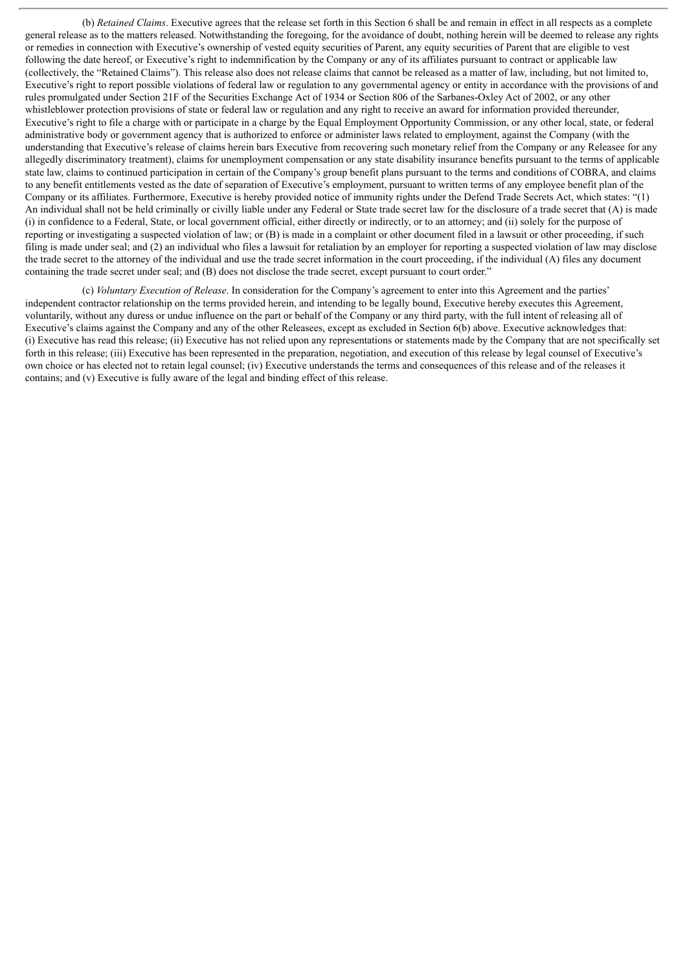(b) *Retained Claims*. Executive agrees that the release set forth in this Section 6 shall be and remain in effect in all respects as a complete general release as to the matters released. Notwithstanding the foregoing, for the avoidance of doubt, nothing herein will be deemed to release any rights or remedies in connection with Executive's ownership of vested equity securities of Parent, any equity securities of Parent that are eligible to vest following the date hereof, or Executive's right to indemnification by the Company or any of its affiliates pursuant to contract or applicable law (collectively, the "Retained Claims"). This release also does not release claims that cannot be released as a matter of law, including, but not limited to, Executive's right to report possible violations of federal law or regulation to any governmental agency or entity in accordance with the provisions of and rules promulgated under Section 21F of the Securities Exchange Act of 1934 or Section 806 of the Sarbanes-Oxley Act of 2002, or any other whistleblower protection provisions of state or federal law or regulation and any right to receive an award for information provided thereunder, Executive's right to file a charge with or participate in a charge by the Equal Employment Opportunity Commission, or any other local, state, or federal administrative body or government agency that is authorized to enforce or administer laws related to employment, against the Company (with the understanding that Executive's release of claims herein bars Executive from recovering such monetary relief from the Company or any Releasee for any allegedly discriminatory treatment), claims for unemployment compensation or any state disability insurance benefits pursuant to the terms of applicable state law, claims to continued participation in certain of the Company's group benefit plans pursuant to the terms and conditions of COBRA, and claims to any benefit entitlements vested as the date of separation of Executive's employment, pursuant to written terms of any employee benefit plan of the Company or its affiliates. Furthermore, Executive is hereby provided notice of immunity rights under the Defend Trade Secrets Act, which states: "(1) An individual shall not be held criminally or civilly liable under any Federal or State trade secret law for the disclosure of a trade secret that (A) is made (i) in confidence to a Federal, State, or local government official, either directly or indirectly, or to an attorney; and (ii) solely for the purpose of reporting or investigating a suspected violation of law; or (B) is made in a complaint or other document filed in a lawsuit or other proceeding, if such filing is made under seal; and (2) an individual who files a lawsuit for retaliation by an employer for reporting a suspected violation of law may disclose the trade secret to the attorney of the individual and use the trade secret information in the court proceeding, if the individual (A) files any document containing the trade secret under seal; and (B) does not disclose the trade secret, except pursuant to court order."

(c) *Voluntary Execution of Release*. In consideration for the Company's agreement to enter into this Agreement and the parties' independent contractor relationship on the terms provided herein, and intending to be legally bound, Executive hereby executes this Agreement, voluntarily, without any duress or undue influence on the part or behalf of the Company or any third party, with the full intent of releasing all of Executive's claims against the Company and any of the other Releasees, except as excluded in Section 6(b) above. Executive acknowledges that: (i) Executive has read this release; (ii) Executive has not relied upon any representations or statements made by the Company that are not specifically set forth in this release; (iii) Executive has been represented in the preparation, negotiation, and execution of this release by legal counsel of Executive's own choice or has elected not to retain legal counsel; (iv) Executive understands the terms and consequences of this release and of the releases it contains; and (v) Executive is fully aware of the legal and binding effect of this release.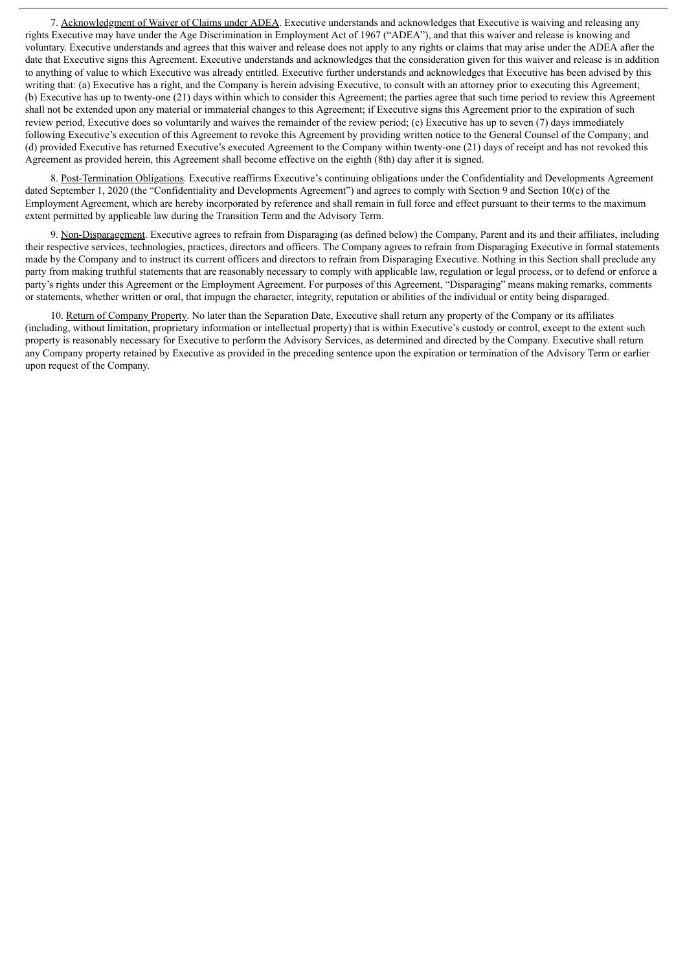7. Acknowledgment of Waiver of Claims under ADEA. Executive understands and acknowledges that Executive is waiving and releasing any rights Executive may have under the Age Discrimination in Employment Act of 1967 ("ADEA"), and that this waiver and release is knowing and voluntary. Executive understands and agrees that this waiver and release does not apply to any rights or claims that may arise under the ADEA after the date that Executive signs this Agreement. Executive understands and acknowledges that the consideration given for this waiver and release is in addition to anything of value to which Executive was already entitled. Executive further understands and acknowledges that Executive has been advised by this writing that: (a) Executive has a right, and the Company is herein advising Executive, to consult with an attorney prior to executing this Agreement; (b) Executive has up to twenty-one (21) days within which to consider this Agreement; the parties agree that such time period to review this Agreement shall not be extended upon any material or immaterial changes to this Agreement; if Executive signs this Agreement prior to the expiration of such review period, Executive does so voluntarily and waives the remainder of the review period; (c) Executive has up to seven (7) days immediately following Executive's execution of this Agreement to revoke this Agreement by providing written notice to the General Counsel of the Company; and (d) provided Executive has returned Executive's executed Agreement to the Company within twenty-one (21) days of receipt and has not revoked this Agreement as provided herein, this Agreement shall become effective on the eighth (8th) day after it is signed.

8. Post-Termination Obligations. Executive reaffirms Executive's continuing obligations under the Confidentiality and Developments Agreement dated September 1, 2020 (the "Confidentiality and Developments Agreement") and agrees to comply with Section 9 and Section 10(c) of the Employment Agreement, which are hereby incorporated by reference and shall remain in full force and effect pursuant to their terms to the maximum extent permitted by applicable law during the Transition Term and the Advisory Term.

9. Non-Disparagement. Executive agrees to refrain from Disparaging (as defined below) the Company, Parent and its and their affiliates, including their respective services, technologies, practices, directors and officers. The Company agrees to refrain from Disparaging Executive in formal statements made by the Company and to instruct its current officers and directors to refrain from Disparaging Executive. Nothing in this Section shall preclude any party from making truthful statements that are reasonably necessary to comply with applicable law, regulation or legal process, or to defend or enforce a party's rights under this Agreement or the Employment Agreement. For purposes of this Agreement, "Disparaging" means making remarks, comments or statements, whether written or oral, that impugn the character, integrity, reputation or abilities of the individual or entity being disparaged.

10. Return of Company Property. No later than the Separation Date, Executive shall return any property of the Company or its affiliates (including, without limitation, proprietary information or intellectual property) that is within Executive's custody or control, except to the extent such property is reasonably necessary for Executive to perform the Advisory Services, as determined and directed by the Company. Executive shall return any Company property retained by Executive as provided in the preceding sentence upon the expiration or termination of the Advisory Term or earlier upon request of the Company.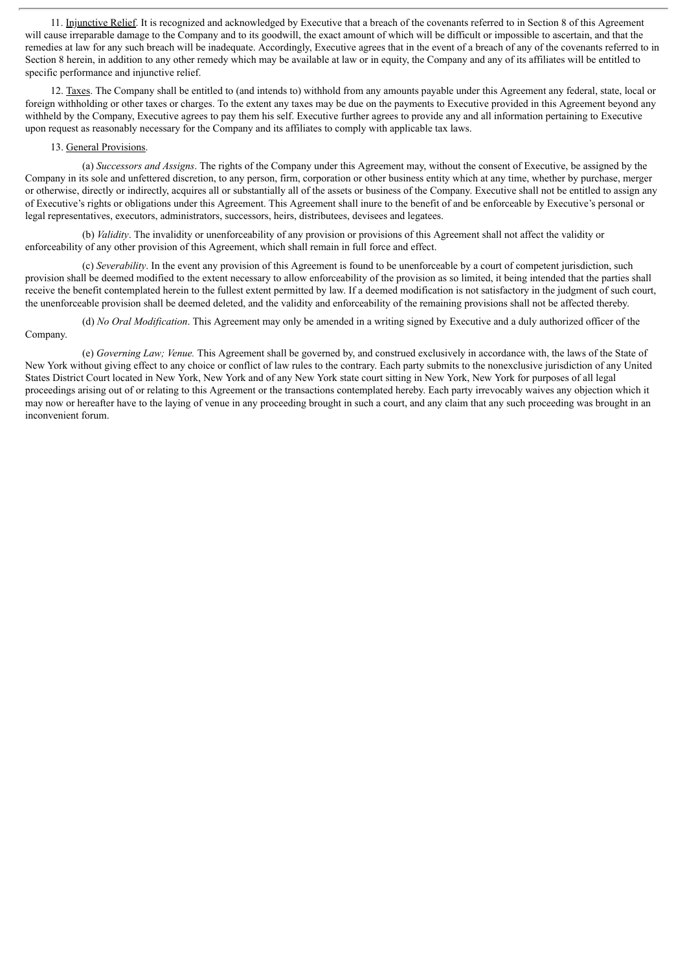11. Injunctive Relief. It is recognized and acknowledged by Executive that a breach of the covenants referred to in Section 8 of this Agreement will cause irreparable damage to the Company and to its goodwill, the exact amount of which will be difficult or impossible to ascertain, and that the remedies at law for any such breach will be inadequate. Accordingly, Executive agrees that in the event of a breach of any of the covenants referred to in Section 8 herein, in addition to any other remedy which may be available at law or in equity, the Company and any of its affiliates will be entitled to specific performance and injunctive relief.

12. Taxes. The Company shall be entitled to (and intends to) withhold from any amounts payable under this Agreement any federal, state, local or foreign withholding or other taxes or charges. To the extent any taxes may be due on the payments to Executive provided in this Agreement beyond any withheld by the Company, Executive agrees to pay them his self. Executive further agrees to provide any and all information pertaining to Executive upon request as reasonably necessary for the Company and its affiliates to comply with applicable tax laws.

#### 13. General Provisions.

(a) *Successors and Assigns*. The rights of the Company under this Agreement may, without the consent of Executive, be assigned by the Company in its sole and unfettered discretion, to any person, firm, corporation or other business entity which at any time, whether by purchase, merger or otherwise, directly or indirectly, acquires all or substantially all of the assets or business of the Company. Executive shall not be entitled to assign any of Executive's rights or obligations under this Agreement. This Agreement shall inure to the benefit of and be enforceable by Executive's personal or legal representatives, executors, administrators, successors, heirs, distributees, devisees and legatees.

(b) *Validity*. The invalidity or unenforceability of any provision or provisions of this Agreement shall not affect the validity or enforceability of any other provision of this Agreement, which shall remain in full force and effect.

(c) *Severability*. In the event any provision of this Agreement is found to be unenforceable by a court of competent jurisdiction, such provision shall be deemed modified to the extent necessary to allow enforceability of the provision as so limited, it being intended that the parties shall receive the benefit contemplated herein to the fullest extent permitted by law. If a deemed modification is not satisfactory in the judgment of such court, the unenforceable provision shall be deemed deleted, and the validity and enforceability of the remaining provisions shall not be affected thereby.

(d) *No Oral Modification*. This Agreement may only be amended in a writing signed by Executive and a duly authorized officer of the Company.

#### (e) *Governing Law; Venue.* This Agreement shall be governed by, and construed exclusively in accordance with, the laws of the State of New York without giving effect to any choice or conflict of law rules to the contrary. Each party submits to the nonexclusive jurisdiction of any United States District Court located in New York, New York and of any New York state court sitting in New York, New York for purposes of all legal proceedings arising out of or relating to this Agreement or the transactions contemplated hereby. Each party irrevocably waives any objection which it may now or hereafter have to the laying of venue in any proceeding brought in such a court, and any claim that any such proceeding was brought in an inconvenient forum.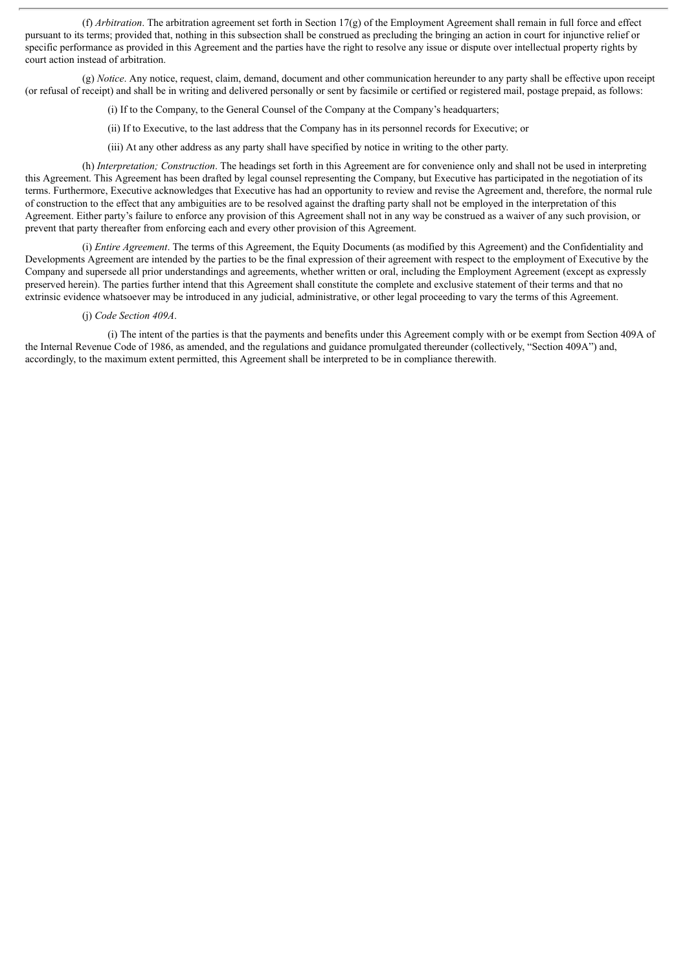(f) *Arbitration*. The arbitration agreement set forth in Section 17(g) of the Employment Agreement shall remain in full force and effect pursuant to its terms; provided that, nothing in this subsection shall be construed as precluding the bringing an action in court for injunctive relief or specific performance as provided in this Agreement and the parties have the right to resolve any issue or dispute over intellectual property rights by court action instead of arbitration.

(g) *Notice*. Any notice, request, claim, demand, document and other communication hereunder to any party shall be effective upon receipt (or refusal of receipt) and shall be in writing and delivered personally or sent by facsimile or certified or registered mail, postage prepaid, as follows:

(i) If to the Company, to the General Counsel of the Company at the Company's headquarters;

(ii) If to Executive, to the last address that the Company has in its personnel records for Executive; or

(iii) At any other address as any party shall have specified by notice in writing to the other party.

(h) *Interpretation; Construction*. The headings set forth in this Agreement are for convenience only and shall not be used in interpreting this Agreement. This Agreement has been drafted by legal counsel representing the Company, but Executive has participated in the negotiation of its terms. Furthermore, Executive acknowledges that Executive has had an opportunity to review and revise the Agreement and, therefore, the normal rule of construction to the effect that any ambiguities are to be resolved against the drafting party shall not be employed in the interpretation of this Agreement. Either party's failure to enforce any provision of this Agreement shall not in any way be construed as a waiver of any such provision, or prevent that party thereafter from enforcing each and every other provision of this Agreement.

(i) *Entire Agreement*. The terms of this Agreement, the Equity Documents (as modified by this Agreement) and the Confidentiality and Developments Agreement are intended by the parties to be the final expression of their agreement with respect to the employment of Executive by the Company and supersede all prior understandings and agreements, whether written or oral, including the Employment Agreement (except as expressly preserved herein). The parties further intend that this Agreement shall constitute the complete and exclusive statement of their terms and that no extrinsic evidence whatsoever may be introduced in any judicial, administrative, or other legal proceeding to vary the terms of this Agreement.

#### (j) *Code Section 409A*.

(i) The intent of the parties is that the payments and benefits under this Agreement comply with or be exempt from Section 409A of the Internal Revenue Code of 1986, as amended, and the regulations and guidance promulgated thereunder (collectively, "Section 409A") and, accordingly, to the maximum extent permitted, this Agreement shall be interpreted to be in compliance therewith.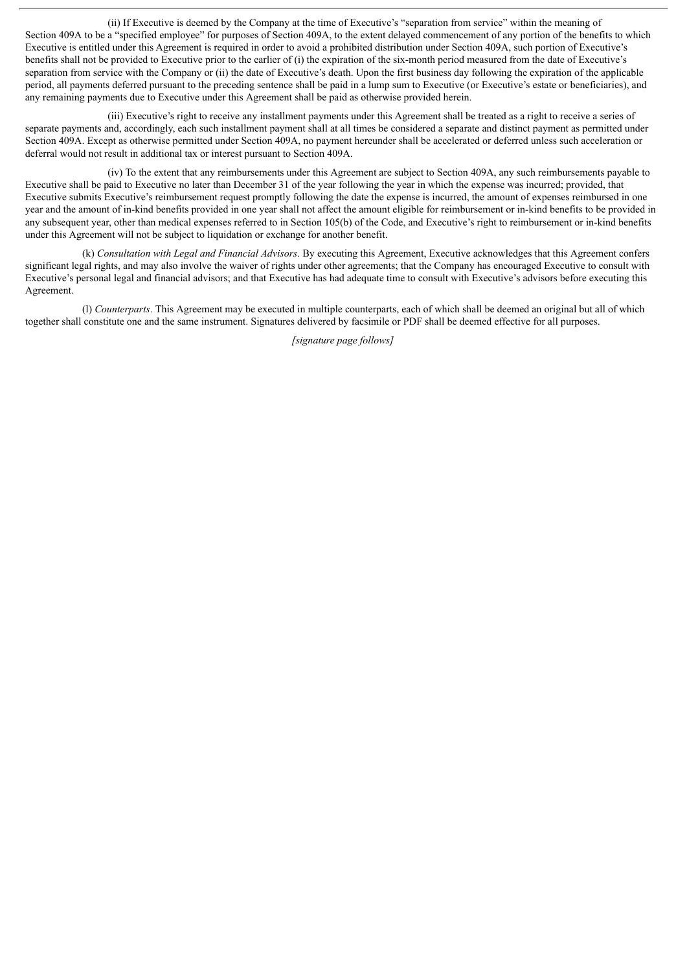(ii) If Executive is deemed by the Company at the time of Executive's "separation from service" within the meaning of Section 409A to be a "specified employee" for purposes of Section 409A, to the extent delayed commencement of any portion of the benefits to which Executive is entitled under this Agreement is required in order to avoid a prohibited distribution under Section 409A, such portion of Executive's benefits shall not be provided to Executive prior to the earlier of (i) the expiration of the six-month period measured from the date of Executive's separation from service with the Company or (ii) the date of Executive's death. Upon the first business day following the expiration of the applicable period, all payments deferred pursuant to the preceding sentence shall be paid in a lump sum to Executive (or Executive's estate or beneficiaries), and any remaining payments due to Executive under this Agreement shall be paid as otherwise provided herein.

(iii) Executive's right to receive any installment payments under this Agreement shall be treated as a right to receive a series of separate payments and, accordingly, each such installment payment shall at all times be considered a separate and distinct payment as permitted under Section 409A. Except as otherwise permitted under Section 409A, no payment hereunder shall be accelerated or deferred unless such acceleration or deferral would not result in additional tax or interest pursuant to Section 409A.

(iv) To the extent that any reimbursements under this Agreement are subject to Section 409A, any such reimbursements payable to Executive shall be paid to Executive no later than December 31 of the year following the year in which the expense was incurred; provided, that Executive submits Executive's reimbursement request promptly following the date the expense is incurred, the amount of expenses reimbursed in one year and the amount of in-kind benefits provided in one year shall not affect the amount eligible for reimbursement or in-kind benefits to be provided in any subsequent year, other than medical expenses referred to in Section 105(b) of the Code, and Executive's right to reimbursement or in-kind benefits under this Agreement will not be subject to liquidation or exchange for another benefit.

(k) *Consultation with Legal and Financial Advisors*. By executing this Agreement, Executive acknowledges that this Agreement confers significant legal rights, and may also involve the waiver of rights under other agreements; that the Company has encouraged Executive to consult with Executive's personal legal and financial advisors; and that Executive has had adequate time to consult with Executive's advisors before executing this Agreement.

(l) *Counterparts*. This Agreement may be executed in multiple counterparts, each of which shall be deemed an original but all of which together shall constitute one and the same instrument. Signatures delivered by facsimile or PDF shall be deemed effective for all purposes.

*[signature page follows]*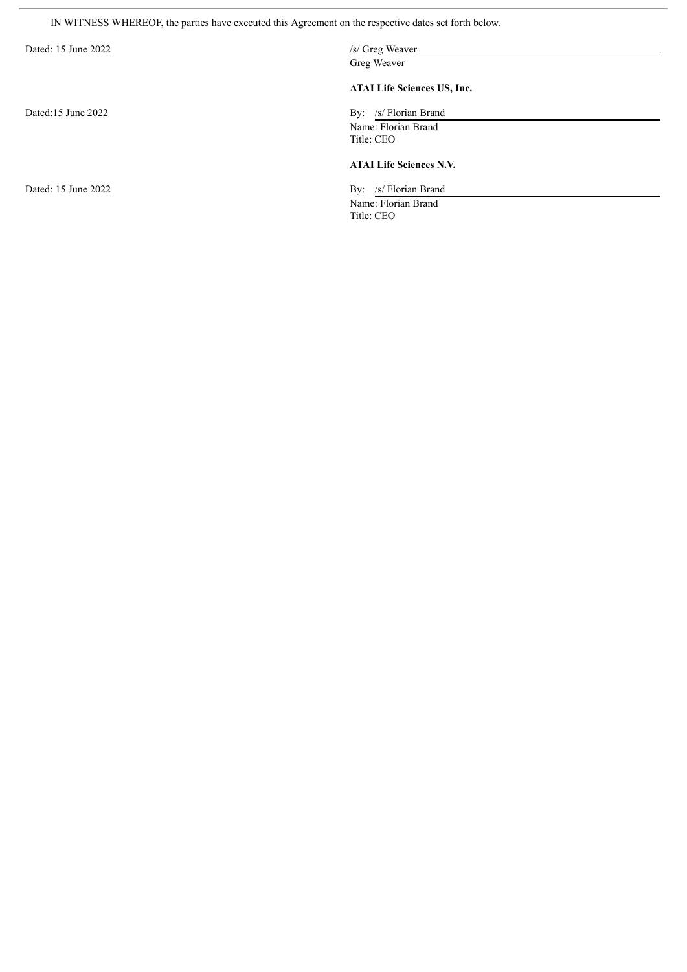IN WITNESS WHEREOF, the parties have executed this Agreement on the respective dates set forth below.

| Dated: 15 June 2022 | /s/ Greg Weaver                    |
|---------------------|------------------------------------|
|                     | Greg Weaver                        |
|                     | <b>ATAI Life Sciences US, Inc.</b> |
| Dated:15 June 2022  | By: /s/ Florian Brand              |
|                     | Name: Florian Brand                |
|                     | Title: CEO                         |
|                     | <b>ATAI Life Sciences N.V.</b>     |
| Dated: 15 June 2022 | By: /s/ Florian Brand              |
|                     | Name: Florian Brand                |
|                     | Title: CEO                         |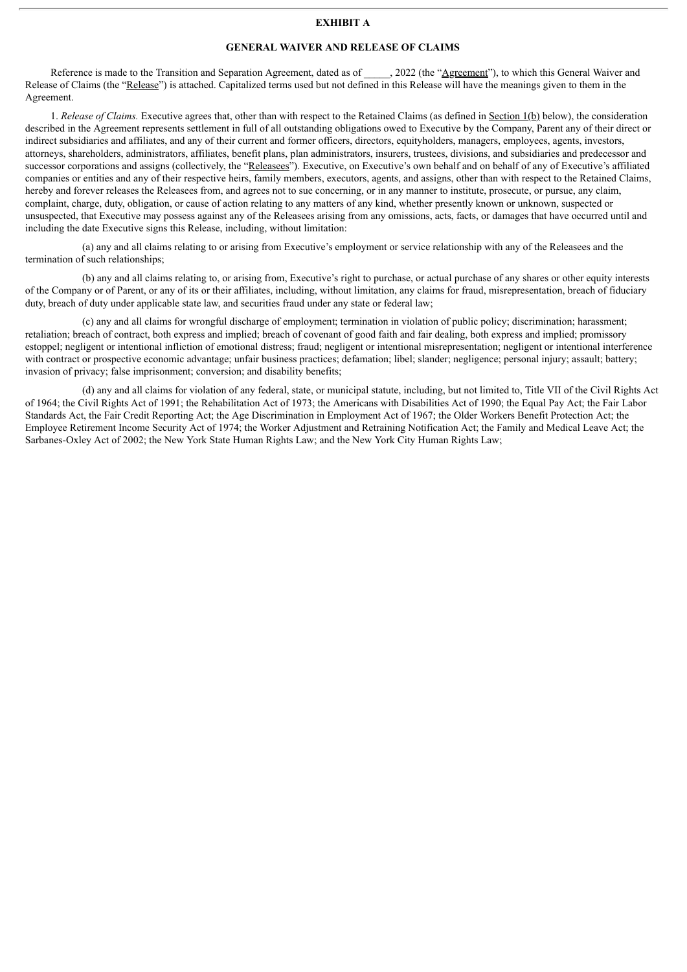#### **EXHIBIT A**

#### **GENERAL WAIVER AND RELEASE OF CLAIMS**

Reference is made to the Transition and Separation Agreement, dated as of , 2022 (the "Agreement"), to which this General Waiver and Release of Claims (the "Release") is attached. Capitalized terms used but not defined in this Release will have the meanings given to them in the Agreement.

1. *Release of Claims.* Executive agrees that, other than with respect to the Retained Claims (as defined in Section 1(b) below), the consideration described in the Agreement represents settlement in full of all outstanding obligations owed to Executive by the Company, Parent any of their direct or indirect subsidiaries and affiliates, and any of their current and former officers, directors, equityholders, managers, employees, agents, investors, attorneys, shareholders, administrators, affiliates, benefit plans, plan administrators, insurers, trustees, divisions, and subsidiaries and predecessor and successor corporations and assigns (collectively, the "Releasees"). Executive, on Executive's own behalf and on behalf of any of Executive's affiliated companies or entities and any of their respective heirs, family members, executors, agents, and assigns, other than with respect to the Retained Claims, hereby and forever releases the Releasees from, and agrees not to sue concerning, or in any manner to institute, prosecute, or pursue, any claim, complaint, charge, duty, obligation, or cause of action relating to any matters of any kind, whether presently known or unknown, suspected or unsuspected, that Executive may possess against any of the Releasees arising from any omissions, acts, facts, or damages that have occurred until and including the date Executive signs this Release, including, without limitation:

(a) any and all claims relating to or arising from Executive's employment or service relationship with any of the Releasees and the termination of such relationships;

(b) any and all claims relating to, or arising from, Executive's right to purchase, or actual purchase of any shares or other equity interests of the Company or of Parent, or any of its or their affiliates, including, without limitation, any claims for fraud, misrepresentation, breach of fiduciary duty, breach of duty under applicable state law, and securities fraud under any state or federal law;

(c) any and all claims for wrongful discharge of employment; termination in violation of public policy; discrimination; harassment; retaliation; breach of contract, both express and implied; breach of covenant of good faith and fair dealing, both express and implied; promissory estoppel; negligent or intentional infliction of emotional distress; fraud; negligent or intentional misrepresentation; negligent or intentional interference with contract or prospective economic advantage; unfair business practices; defamation; libel; slander; negligence; personal injury; assault; battery; invasion of privacy; false imprisonment; conversion; and disability benefits;

(d) any and all claims for violation of any federal, state, or municipal statute, including, but not limited to, Title VII of the Civil Rights Act of 1964; the Civil Rights Act of 1991; the Rehabilitation Act of 1973; the Americans with Disabilities Act of 1990; the Equal Pay Act; the Fair Labor Standards Act, the Fair Credit Reporting Act; the Age Discrimination in Employment Act of 1967; the Older Workers Benefit Protection Act; the Employee Retirement Income Security Act of 1974; the Worker Adjustment and Retraining Notification Act; the Family and Medical Leave Act; the Sarbanes-Oxley Act of 2002; the New York State Human Rights Law; and the New York City Human Rights Law;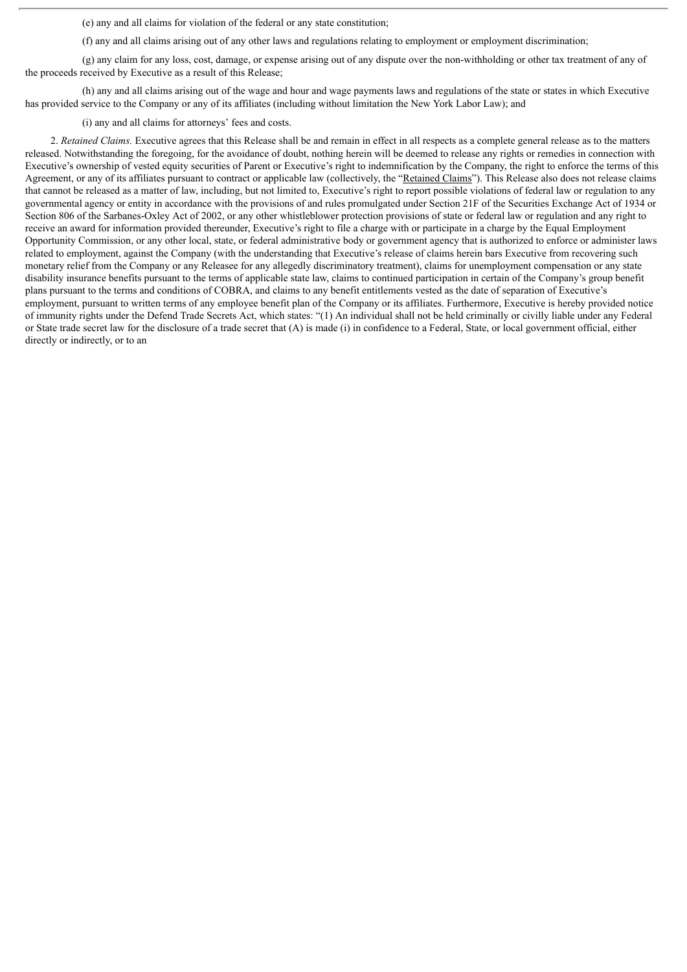(e) any and all claims for violation of the federal or any state constitution;

(f) any and all claims arising out of any other laws and regulations relating to employment or employment discrimination;

(g) any claim for any loss, cost, damage, or expense arising out of any dispute over the non-withholding or other tax treatment of any of the proceeds received by Executive as a result of this Release;

(h) any and all claims arising out of the wage and hour and wage payments laws and regulations of the state or states in which Executive has provided service to the Company or any of its affiliates (including without limitation the New York Labor Law); and

(i) any and all claims for attorneys' fees and costs.

2. *Retained Claims.* Executive agrees that this Release shall be and remain in effect in all respects as a complete general release as to the matters released. Notwithstanding the foregoing, for the avoidance of doubt, nothing herein will be deemed to release any rights or remedies in connection with Executive's ownership of vested equity securities of Parent or Executive's right to indemnification by the Company, the right to enforce the terms of this Agreement, or any of its affiliates pursuant to contract or applicable law (collectively, the "Retained Claims"). This Release also does not release claims that cannot be released as a matter of law, including, but not limited to, Executive's right to report possible violations of federal law or regulation to any governmental agency or entity in accordance with the provisions of and rules promulgated under Section 21F of the Securities Exchange Act of 1934 or Section 806 of the Sarbanes-Oxley Act of 2002, or any other whistleblower protection provisions of state or federal law or regulation and any right to receive an award for information provided thereunder, Executive's right to file a charge with or participate in a charge by the Equal Employment Opportunity Commission, or any other local, state, or federal administrative body or government agency that is authorized to enforce or administer laws related to employment, against the Company (with the understanding that Executive's release of claims herein bars Executive from recovering such monetary relief from the Company or any Releasee for any allegedly discriminatory treatment), claims for unemployment compensation or any state disability insurance benefits pursuant to the terms of applicable state law, claims to continued participation in certain of the Company's group benefit plans pursuant to the terms and conditions of COBRA, and claims to any benefit entitlements vested as the date of separation of Executive's employment, pursuant to written terms of any employee benefit plan of the Company or its affiliates. Furthermore, Executive is hereby provided notice of immunity rights under the Defend Trade Secrets Act, which states: "(1) An individual shall not be held criminally or civilly liable under any Federal or State trade secret law for the disclosure of a trade secret that (A) is made (i) in confidence to a Federal, State, or local government official, either directly or indirectly, or to an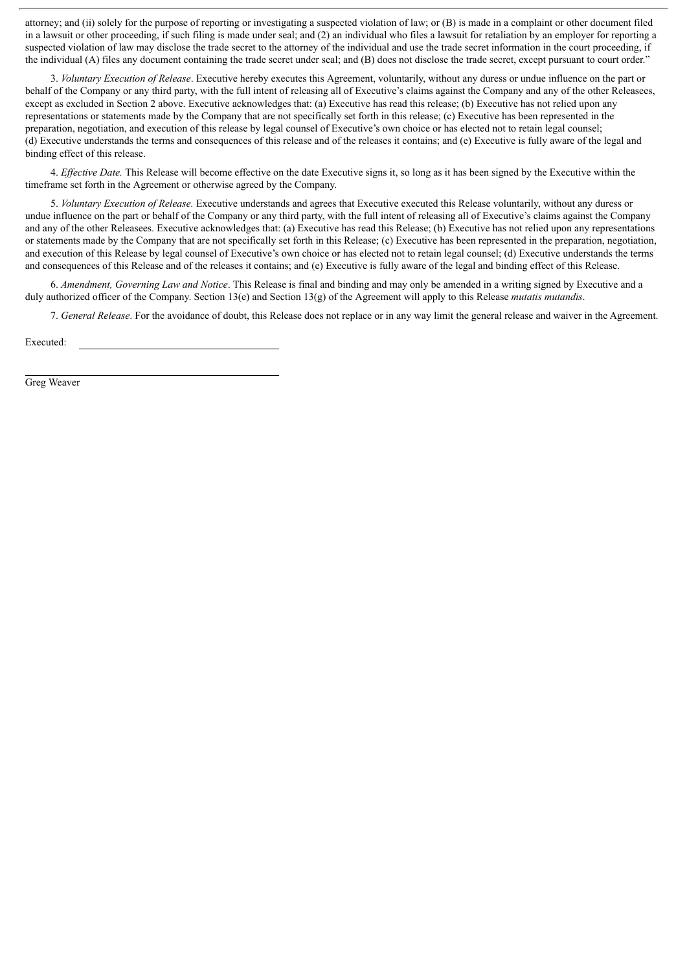attorney; and (ii) solely for the purpose of reporting or investigating a suspected violation of law; or (B) is made in a complaint or other document filed in a lawsuit or other proceeding, if such filing is made under seal; and (2) an individual who files a lawsuit for retaliation by an employer for reporting a suspected violation of law may disclose the trade secret to the attorney of the individual and use the trade secret information in the court proceeding, if the individual (A) files any document containing the trade secret under seal; and (B) does not disclose the trade secret, except pursuant to court order."

3. *Voluntary Execution of Release*. Executive hereby executes this Agreement, voluntarily, without any duress or undue influence on the part or behalf of the Company or any third party, with the full intent of releasing all of Executive's claims against the Company and any of the other Releasees, except as excluded in Section 2 above. Executive acknowledges that: (a) Executive has read this release; (b) Executive has not relied upon any representations or statements made by the Company that are not specifically set forth in this release; (c) Executive has been represented in the preparation, negotiation, and execution of this release by legal counsel of Executive's own choice or has elected not to retain legal counsel; (d) Executive understands the terms and consequences of this release and of the releases it contains; and (e) Executive is fully aware of the legal and binding effect of this release.

4. *Ef ective Date.* This Release will become effective on the date Executive signs it, so long as it has been signed by the Executive within the timeframe set forth in the Agreement or otherwise agreed by the Company.

5. *Voluntary Execution of Release.* Executive understands and agrees that Executive executed this Release voluntarily, without any duress or undue influence on the part or behalf of the Company or any third party, with the full intent of releasing all of Executive's claims against the Company and any of the other Releasees. Executive acknowledges that: (a) Executive has read this Release; (b) Executive has not relied upon any representations or statements made by the Company that are not specifically set forth in this Release; (c) Executive has been represented in the preparation, negotiation, and execution of this Release by legal counsel of Executive's own choice or has elected not to retain legal counsel; (d) Executive understands the terms and consequences of this Release and of the releases it contains; and (e) Executive is fully aware of the legal and binding effect of this Release.

6. *Amendment, Governing Law and Notice*. This Release is final and binding and may only be amended in a writing signed by Executive and a duly authorized officer of the Company. Section 13(e) and Section 13(g) of the Agreement will apply to this Release *mutatis mutandis*.

7. *General Release*. For the avoidance of doubt, this Release does not replace or in any way limit the general release and waiver in the Agreement.

Executed:

Greg Weaver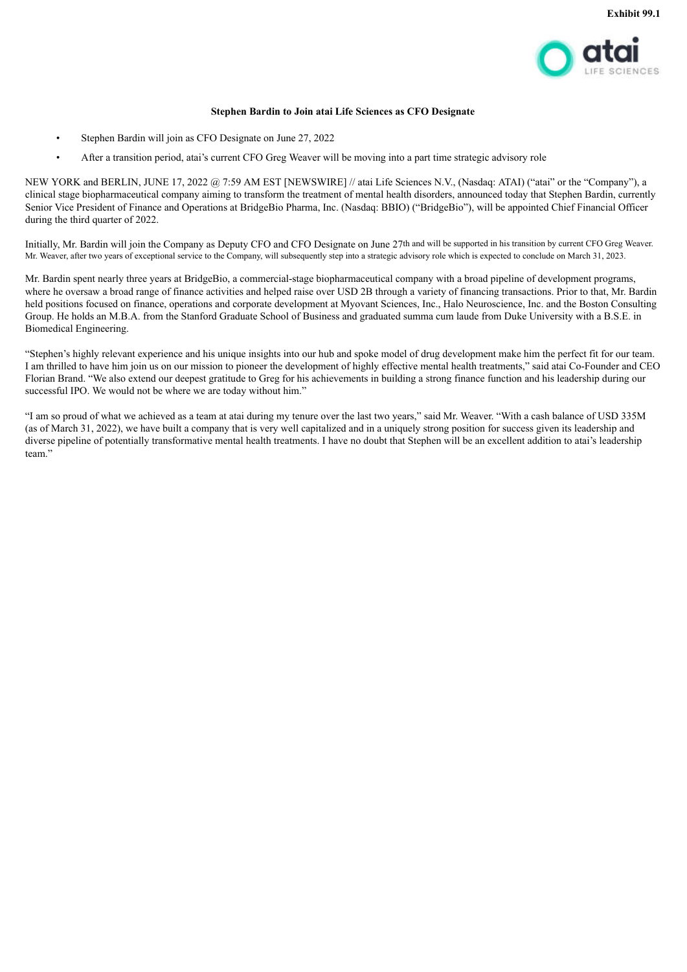

#### **Stephen Bardin to Join atai Life Sciences as CFO Designate**

- <span id="page-18-0"></span>• Stephen Bardin will join as CFO Designate on June 27, 2022
- After a transition period, atai's current CFO Greg Weaver will be moving into a part time strategic advisory role

NEW YORK and BERLIN, JUNE 17, 2022 @ 7:59 AM EST [NEWSWIRE] // atai Life Sciences N.V., (Nasdaq: ATAI) ("atai" or the "Company"), a clinical stage biopharmaceutical company aiming to transform the treatment of mental health disorders, announced today that Stephen Bardin, currently Senior Vice President of Finance and Operations at BridgeBio Pharma, Inc. (Nasdaq: BBIO) ("BridgeBio"), will be appointed Chief Financial Officer during the third quarter of 2022.

Initially, Mr. Bardin will join the Company as Deputy CFO and CFO Designate on June 27th and will be supported in his transition by current CFO Greg Weaver. Mr. Weaver, after two years of exceptional service to the Company, will subsequently step into a strategic advisory role which is expected to conclude on March 31, 2023.

Mr. Bardin spent nearly three years at BridgeBio, a commercial-stage biopharmaceutical company with a broad pipeline of development programs, where he oversaw a broad range of finance activities and helped raise over USD 2B through a variety of financing transactions. Prior to that, Mr. Bardin held positions focused on finance, operations and corporate development at Myovant Sciences, Inc., Halo Neuroscience, Inc. and the Boston Consulting Group. He holds an M.B.A. from the Stanford Graduate School of Business and graduated summa cum laude from Duke University with a B.S.E. in Biomedical Engineering.

"Stephen's highly relevant experience and his unique insights into our hub and spoke model of drug development make him the perfect fit for our team. I am thrilled to have him join us on our mission to pioneer the development of highly effective mental health treatments," said atai Co-Founder and CEO Florian Brand. "We also extend our deepest gratitude to Greg for his achievements in building a strong finance function and his leadership during our successful IPO. We would not be where we are today without him."

"I am so proud of what we achieved as a team at atai during my tenure over the last two years," said Mr. Weaver. "With a cash balance of USD 335M (as of March 31, 2022), we have built a company that is very well capitalized and in a uniquely strong position for success given its leadership and diverse pipeline of potentially transformative mental health treatments. I have no doubt that Stephen will be an excellent addition to atai's leadership team."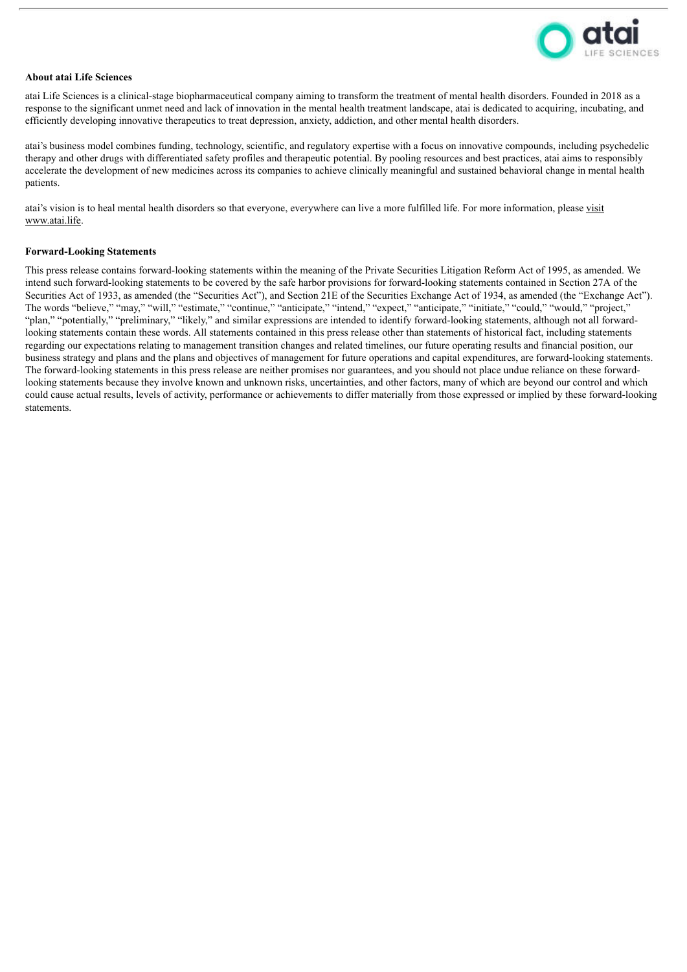

#### **About atai Life Sciences**

atai Life Sciences is a clinical-stage biopharmaceutical company aiming to transform the treatment of mental health disorders. Founded in 2018 as a response to the significant unmet need and lack of innovation in the mental health treatment landscape, atai is dedicated to acquiring, incubating, and efficiently developing innovative therapeutics to treat depression, anxiety, addiction, and other mental health disorders.

atai's business model combines funding, technology, scientific, and regulatory expertise with a focus on innovative compounds, including psychedelic therapy and other drugs with differentiated safety profiles and therapeutic potential. By pooling resources and best practices, atai aims to responsibly accelerate the development of new medicines across its companies to achieve clinically meaningful and sustained behavioral change in mental health patients.

atai's vision is to heal mental health disorders so that everyone, everywhere can live a more fulfilled life. For more information, please visit www.atai.life.

#### **Forward-Looking Statements**

This press release contains forward-looking statements within the meaning of the Private Securities Litigation Reform Act of 1995, as amended. We intend such forward-looking statements to be covered by the safe harbor provisions for forward-looking statements contained in Section 27A of the Securities Act of 1933, as amended (the "Securities Act"), and Section 21E of the Securities Exchange Act of 1934, as amended (the "Exchange Act"). The words "believe," "may," "will," "estimate," "continue," "anticipate," "intend," "expect," "anticipate," "initiate," "could," "would," "project," "plan," "potentially," "preliminary," "likely," and similar expressions are intended to identify forward-looking statements, although not all forwardlooking statements contain these words. All statements contained in this press release other than statements of historical fact, including statements regarding our expectations relating to management transition changes and related timelines, our future operating results and financial position, our business strategy and plans and the plans and objectives of management for future operations and capital expenditures, are forward-looking statements. The forward-looking statements in this press release are neither promises nor guarantees, and you should not place undue reliance on these forwardlooking statements because they involve known and unknown risks, uncertainties, and other factors, many of which are beyond our control and which could cause actual results, levels of activity, performance or achievements to differ materially from those expressed or implied by these forward-looking statements.